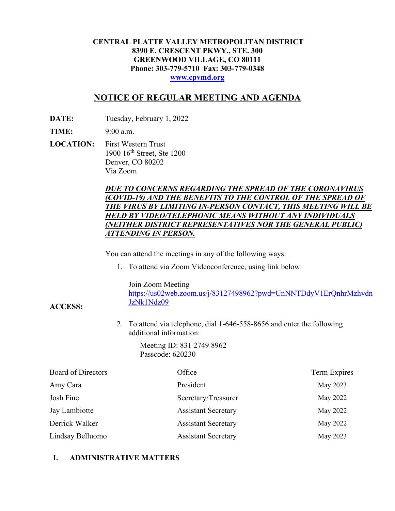### **CENTRAL PLATTE VALLEY METROPOLITAN DISTRICT 8390 E. CRESCENT PKWY., STE. 300 GREENWOOD VILLAGE, CO 80111 Phone: 303-779-5710 Fax: 303-779-0348 [www.cpvmd.org](http://www.cpvmd.org/)**

# **NOTICE OF REGULAR MEETING AND AGENDA**

**DATE:** Tuesday, February 1, 2022

**TIME:** 9:00 a.m.

**ACCESS:**

**LOCATION:** First Western Trust 1900 16<sup>th</sup> Street, Ste 1200 Denver, CO 80202 Via Zoom

## *DUE TO CONCERNS REGARDING THE SPREAD OF THE CORONAVIRUS (COVID-19) AND THE BENEFITS TO THE CONTROL OF THE SPREAD OF THE VIRUS BY LIMITING IN-PERSON CONTACT, THIS MEETING WILL BE HELD BY VIDEO/TELEPHONIC MEANS WITHOUT ANY INDIVIDUALS (NEITHER DISTRICT REPRESENTATIVES NOR THE GENERAL PUBLIC) ATTENDING IN PERSON.*

You can attend the meetings in any of the following ways:

1. To attend via Zoom Videoconference, using link below:

Join Zoom Meeting

[https://us02web.zoom.us/j/83127498962?pwd=UnNNTDdyV1ErQnhrMzhvdn](https://nam11.safelinks.protection.outlook.com/?url=https%3A%2F%2Fus02web.zoom.us%2Fj%2F83127498962%3Fpwd%3DUnNNTDdyV1ErQnhrMzhvdnJzNk1Ndz09&data=04%7C01%7CRachel.alles%40claconnect.com%7C515b8a3a5bb149f0483608d9bfe9225c%7C4aaa468e93ba4ee3ab9f6a247aa3ade0%7C0%7C0%7C637751830440162010%7CUnknown%7CTWFpbGZsb3d8eyJWIjoiMC4wLjAwMDAiLCJQIjoiV2luMzIiLCJBTiI6Ik1haWwiLCJXVCI6Mn0%3D%7C1000&sdata=52L7UuwlopVA0rXq4v79MPjtXkMJTQPWRs1BvoYRINs%3D&reserved=0) [JzNk1Ndz09](https://nam11.safelinks.protection.outlook.com/?url=https%3A%2F%2Fus02web.zoom.us%2Fj%2F83127498962%3Fpwd%3DUnNNTDdyV1ErQnhrMzhvdnJzNk1Ndz09&data=04%7C01%7CRachel.alles%40claconnect.com%7C515b8a3a5bb149f0483608d9bfe9225c%7C4aaa468e93ba4ee3ab9f6a247aa3ade0%7C0%7C0%7C637751830440162010%7CUnknown%7CTWFpbGZsb3d8eyJWIjoiMC4wLjAwMDAiLCJQIjoiV2luMzIiLCJBTiI6Ik1haWwiLCJXVCI6Mn0%3D%7C1000&sdata=52L7UuwlopVA0rXq4v79MPjtXkMJTQPWRs1BvoYRINs%3D&reserved=0)

2. To attend via telephone, dial 1-646-558-8656 and enter the following additional information:

> Meeting ID: 831 2749 8962 Passcode: 620230

| <b>Board of Directors</b> | Office                     | <b>Term Expires</b> |
|---------------------------|----------------------------|---------------------|
| Amy Cara                  | President                  | May 2023            |
| Josh Fine                 | Secretary/Treasurer        | May 2022            |
| Jay Lambiotte             | <b>Assistant Secretary</b> | May 2022            |
| Derrick Walker            | <b>Assistant Secretary</b> | May 2022            |
| Lindsay Belluomo          | <b>Assistant Secretary</b> | May 2023            |

### **I. ADMINISTRATIVE MATTERS**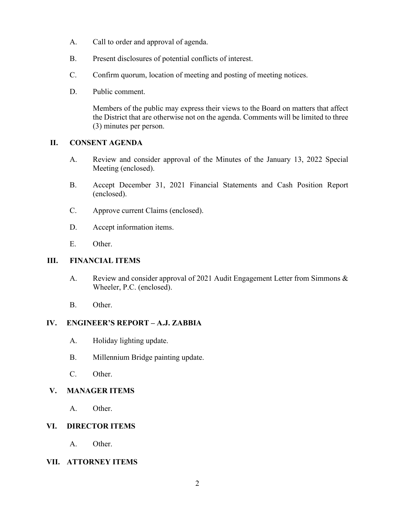- A. Call to order and approval of agenda.
- B. Present disclosures of potential conflicts of interest.
- C. Confirm quorum, location of meeting and posting of meeting notices.
- D. Public comment.

Members of the public may express their views to the Board on matters that affect the District that are otherwise not on the agenda. Comments will be limited to three (3) minutes per person.

#### **II. CONSENT AGENDA**

- A. Review and consider approval of the Minutes of the January 13, 2022 Special Meeting (enclosed).
- B. Accept December 31, 2021 Financial Statements and Cash Position Report (enclosed).
- C. Approve current Claims (enclosed).
- D. Accept information items.
- E. Other.

#### **III. FINANCIAL ITEMS**

- A. Review and consider approval of 2021 Audit Engagement Letter from Simmons & Wheeler, P.C. (enclosed).
- B. Other.

#### **IV. ENGINEER'S REPORT – A.J. ZABBIA**

- A. Holiday lighting update.
- B. Millennium Bridge painting update.
- C. Other.

## **V. MANAGER ITEMS**

A. Other.

#### **VI. DIRECTOR ITEMS**

A. Other.

#### **VII. ATTORNEY ITEMS**